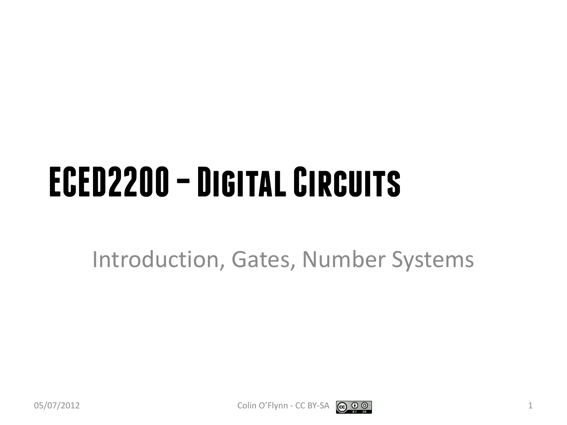### **ECED2200 –Digital Circuits**

Introduction, Gates, Number Systems

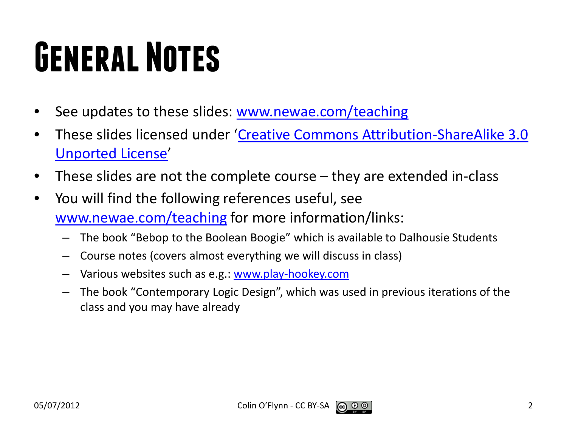# **General Notes**

- See updates to these slides: [www.newae.com/teaching](http://www.newae.com/teaching)
- These slides licensed under '[Creative Commons Attribution-ShareAlike](http://creativecommons.org/licenses/by-sa/3.0/) 3.0 [Unported](http://creativecommons.org/licenses/by-sa/3.0/) License'
- These slides are not the complete course they are extended in-class
- You will find the following references useful, see [www.newae.com/teaching](http://www.newae.com/teaching) for more information/links:
	- The book "Bebop to the Boolean Boogie" which is available to Dalhousie Students
	- Course notes (covers almost everything we will discuss in class)
	- Various websites such as e.g.: [www.play-hookey.com](http://www.play-hookey.com/)
	- The book "Contemporary Logic Design", which was used in previous iterations of the class and you may have already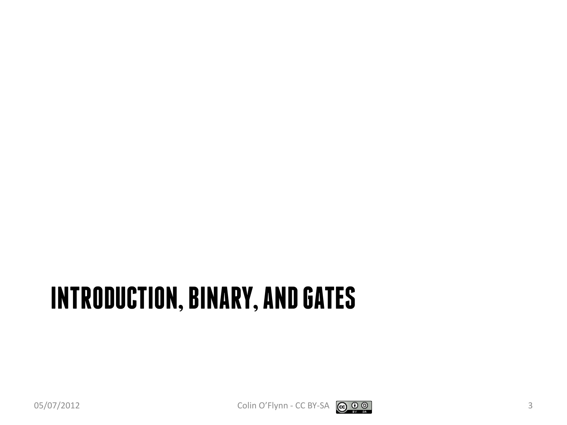### **INTRODUCTION, BINARY, AND GATES**



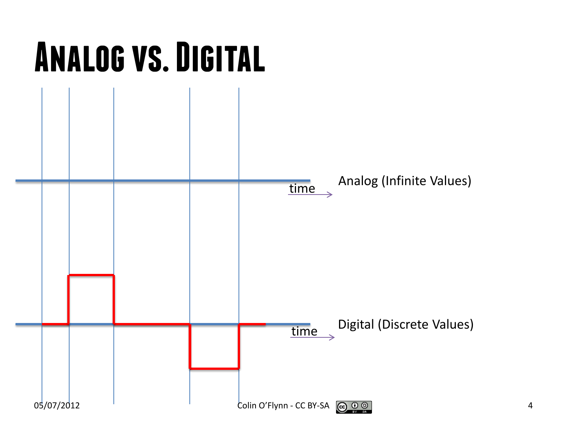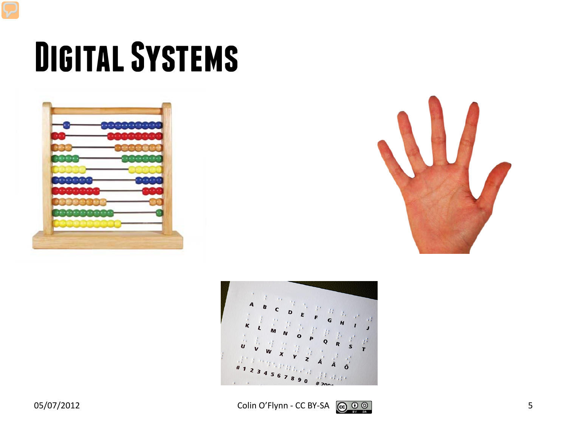### **Digital Systems**









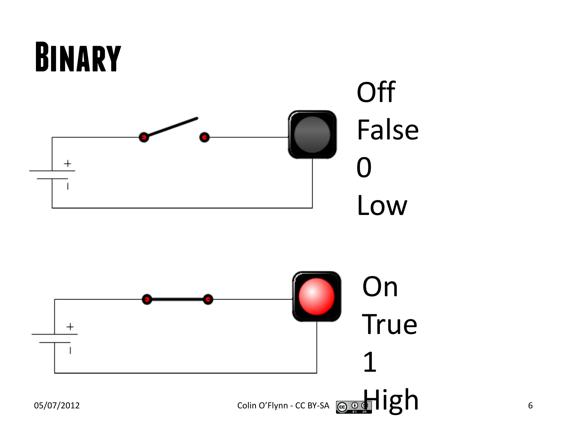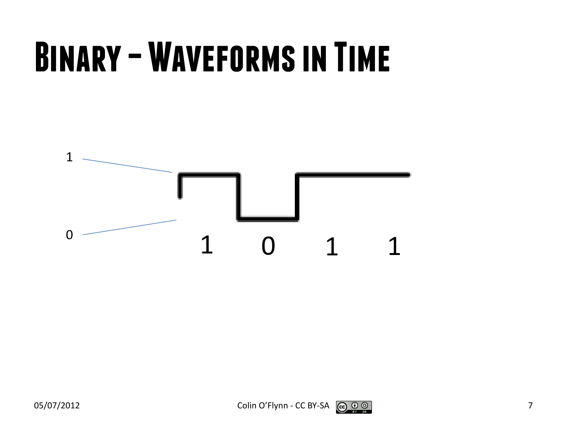### **Binary –Waveforms in Time**



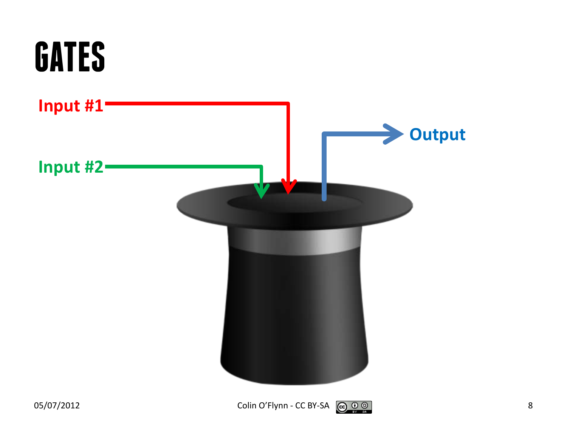

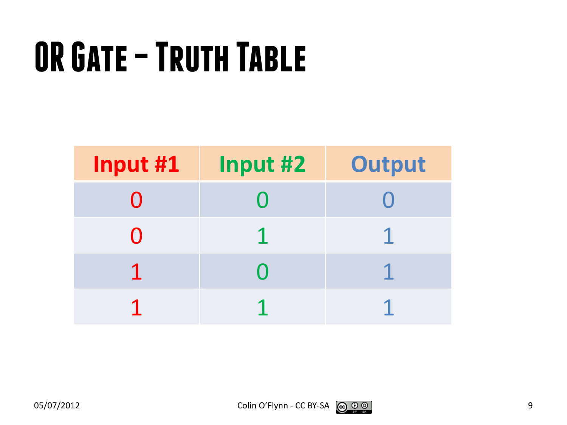# **OR Gate –Truth Table**

| Input #1  | Input #2 | <b>Output</b> |
|-----------|----------|---------------|
| $\Omega$  |          |               |
| $\bigcap$ |          |               |
|           |          |               |
|           |          |               |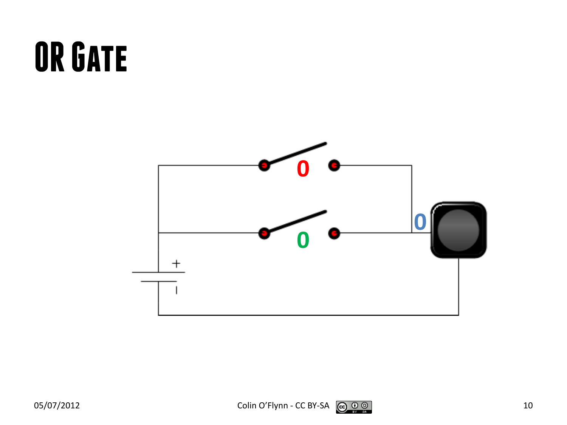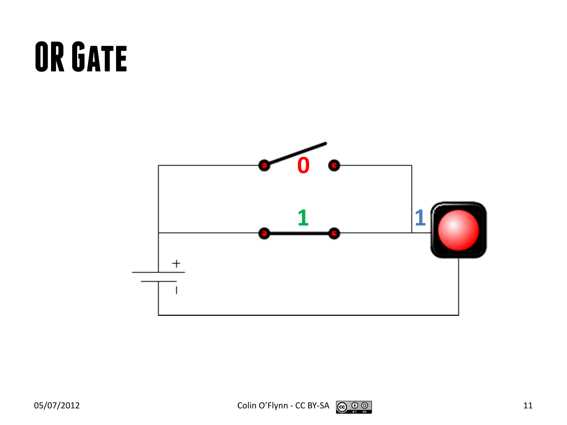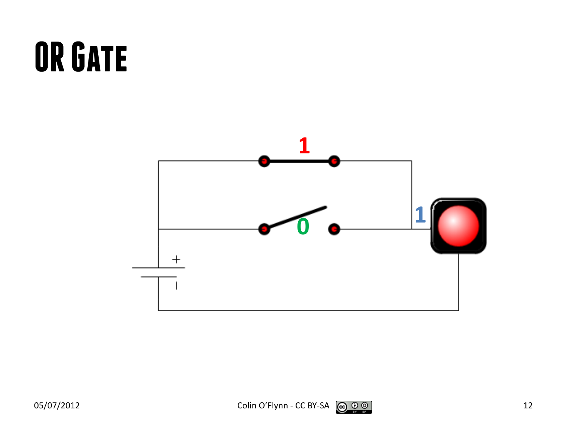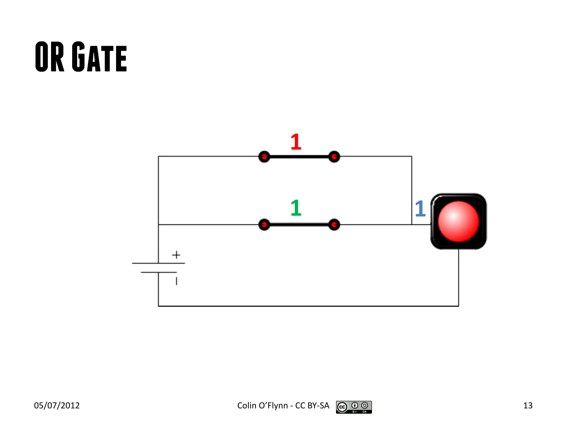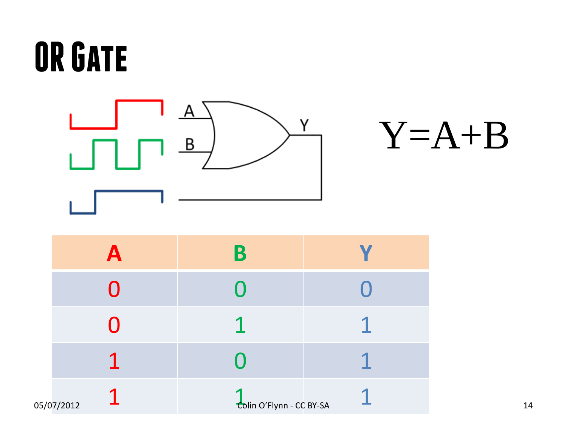



|            | $\rightarrow$ | B                             |  |
|------------|---------------|-------------------------------|--|
|            |               |                               |  |
|            |               |                               |  |
|            |               |                               |  |
| 05/07/2012 |               | ◚<br>Colin O'Flynn - CC BY-SA |  |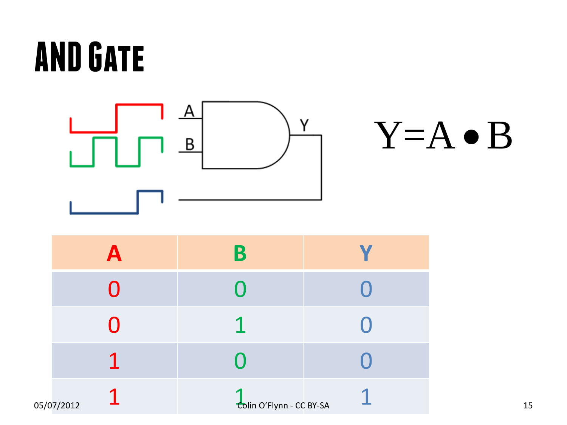### **AND Gate**



|            | A | B                             |  |
|------------|---|-------------------------------|--|
|            |   |                               |  |
|            |   |                               |  |
|            |   |                               |  |
| 05/07/2012 |   | ◚<br>Colin O'Flynn - CC BY-SA |  |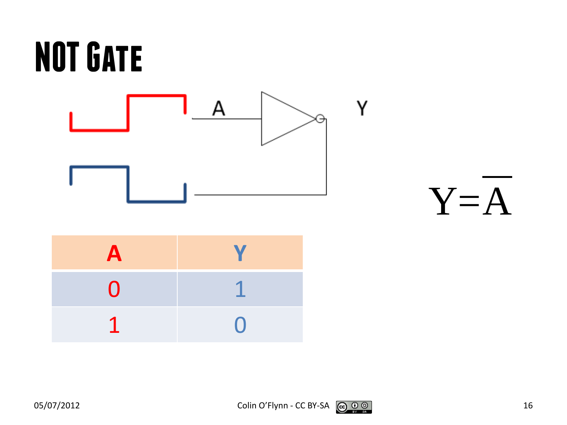# **NOT Gate** A Y Y=A **A Y**

0 1

1 0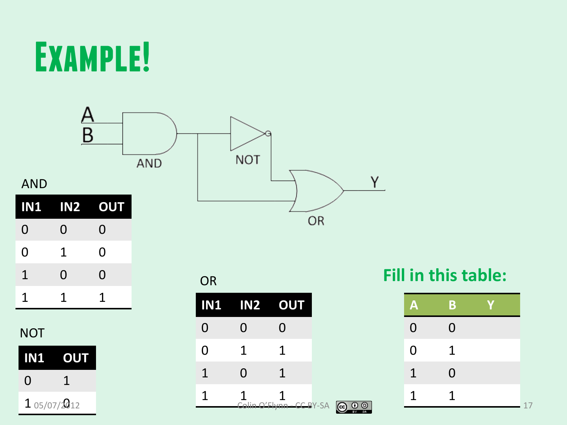

#### AND

|   | IN1 IN2 OUT |   |
|---|-------------|---|
| 0 | 0           | 0 |
| 0 | 1           | 0 |
| 1 | 0           | 0 |
| 1 | 1           | 1 |

NOT

| <b>IN1</b>  | OUT |
|-------------|-----|
| 0           | Τ   |
| 105/07/2012 |     |



#### **Fill in this table:**

| $\boldsymbol{A}$ | B              |  |
|------------------|----------------|--|
| $\mathbf 0$      | $\overline{0}$ |  |
| $\overline{0}$   | 1              |  |
| $\mathbf{1}$     | $\overline{0}$ |  |
| 1                | 1              |  |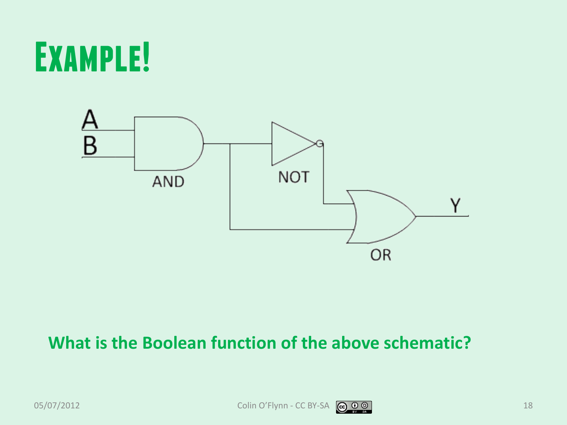

### **What is the Boolean function of the above schematic?**

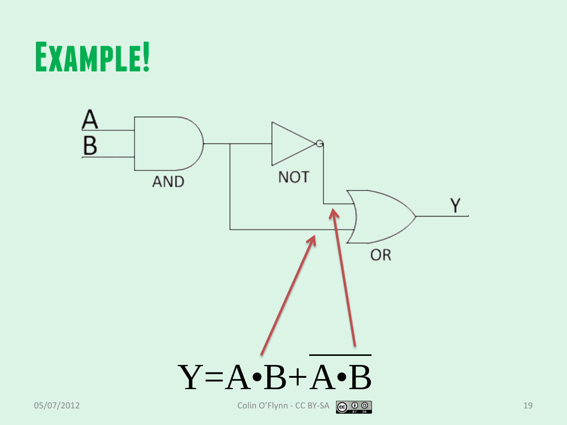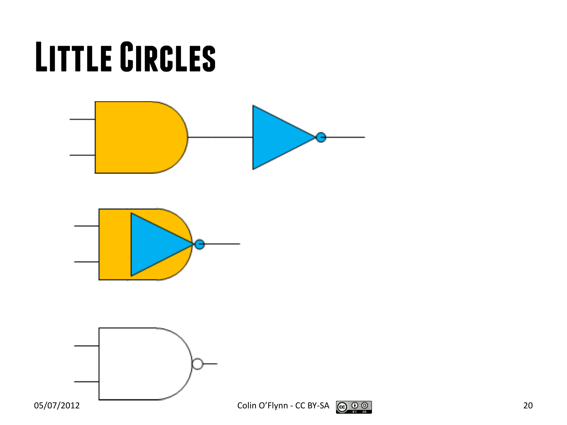# **Little Circles**







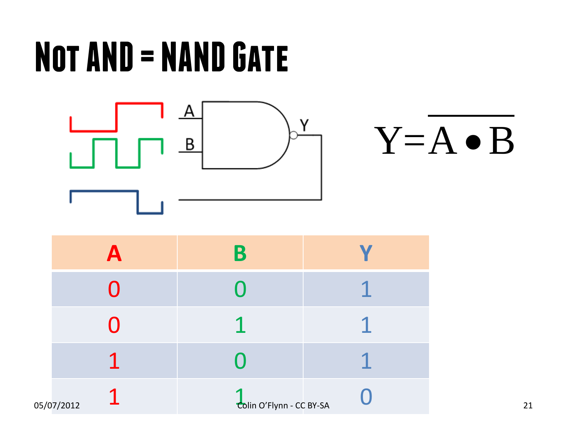# **Not AND = NAND Gate**





|            | B                             |  |
|------------|-------------------------------|--|
|            |                               |  |
|            |                               |  |
|            |                               |  |
| 05/07/2012 | ◚<br>Colin O'Flynn - CC BY-SA |  |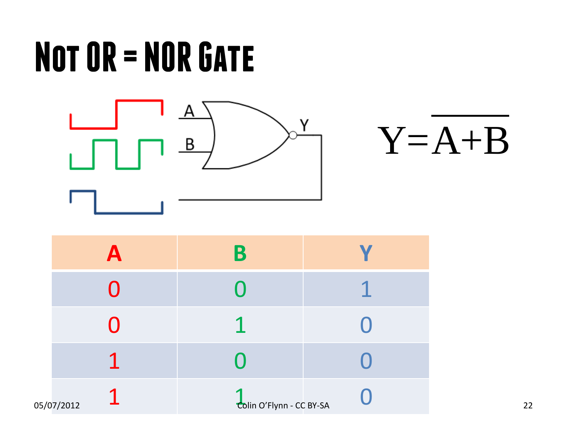# **Not OR = NOR Gate**





|            | A | Β                             |  |
|------------|---|-------------------------------|--|
|            |   |                               |  |
|            |   |                               |  |
|            |   |                               |  |
| 05/07/2012 |   | ◚<br>Colin O'Flynn - CC BY-SA |  |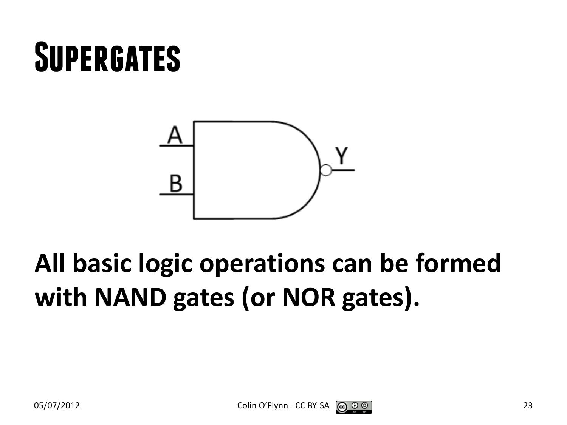### **Supergates**



### **All basic logic operations can be formed with NAND gates (or NOR gates).**

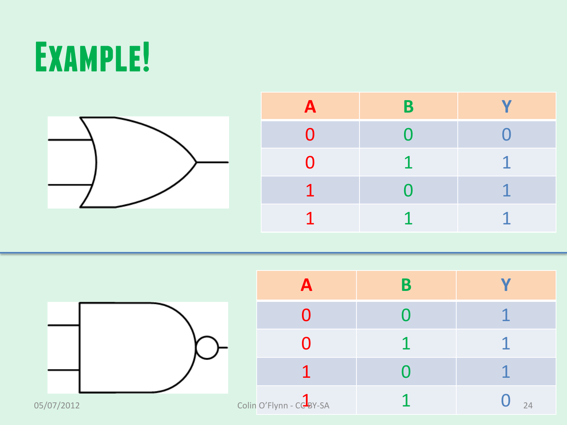

| B |          |
|---|----------|
| O | $\Omega$ |
| 1 | 1        |
| O | 1        |
| п | 1        |
|   |          |

|            | $\sqrt{2}$               |    |
|------------|--------------------------|----|
|            |                          |    |
|            |                          |    |
|            |                          |    |
| 05/07/2012 | Colin O'Flynn - CC-BY-SA | 24 |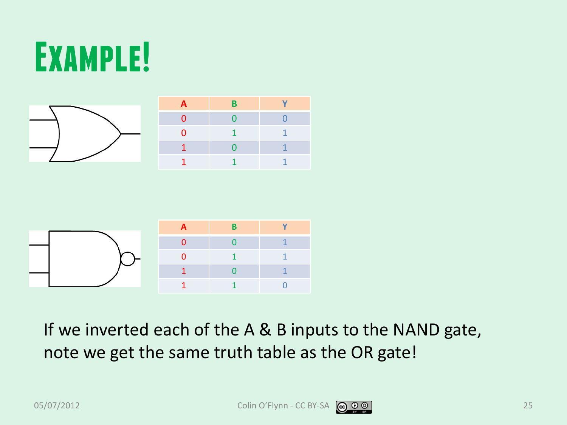

| $\mathbf{A}$ | B        |        |
|--------------|----------|--------|
| $\mathbf{0}$ | $\Omega$ | $\cap$ |
| $\mathbf{0}$ |          |        |
| 1            | O        |        |
|              |          |        |



If we inverted each of the A & B inputs to the NAND gate, note we get the same truth table as the OR gate!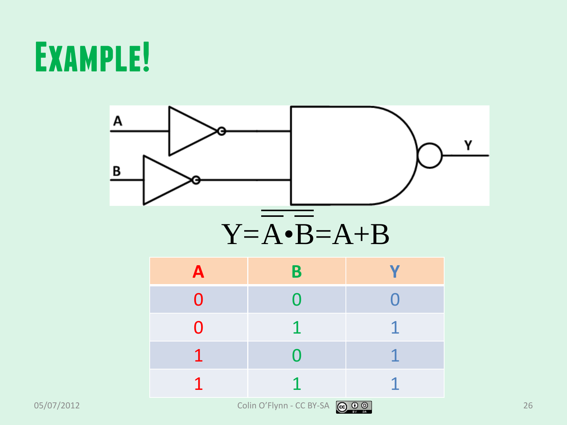

### $Y=\overline{\overline{A}\cdot B}=A+B$

|            | B                                                  |  |
|------------|----------------------------------------------------|--|
|            |                                                    |  |
|            |                                                    |  |
|            |                                                    |  |
|            |                                                    |  |
| 05/07/2012 | Colin O'Flynn - CC BY-SA $\bigcirc$ 0 0 $\bigcirc$ |  |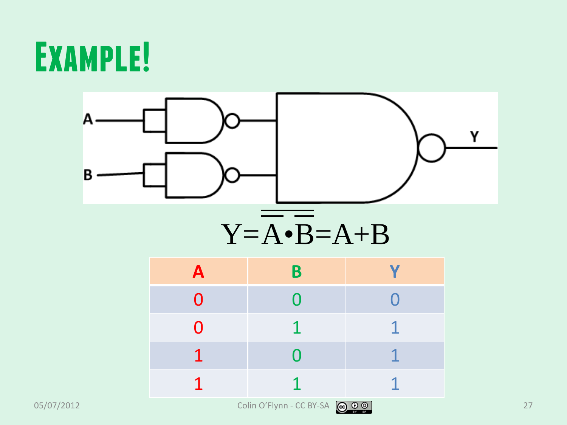

### $Y=\overline{\overline{A}\cdot B}=A+B$

| 1 |
|---|
|   |
|   |
|   |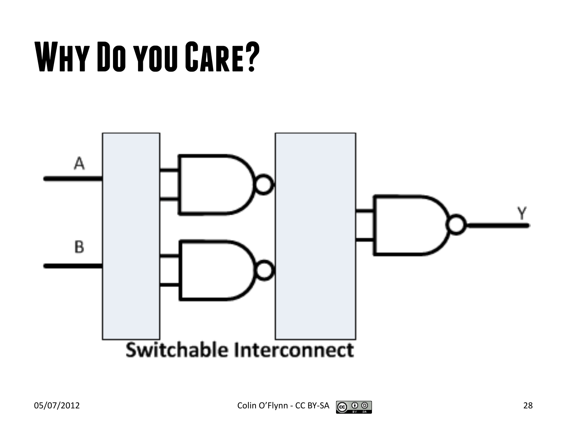# **Why Do you Care?**

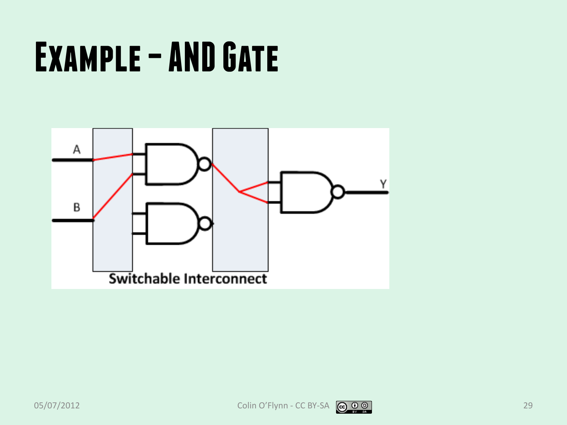### **Example –AND Gate**



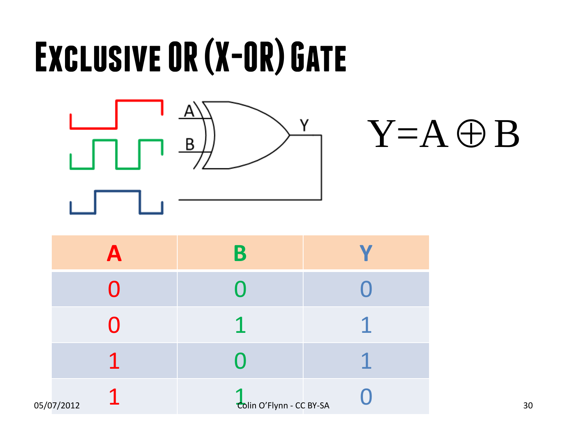# **Exclusive OR (X-OR) Gate**



### $Y = A \oplus B$

|            | Æ | B                             |  |
|------------|---|-------------------------------|--|
|            |   |                               |  |
|            |   |                               |  |
|            |   |                               |  |
| 05/07/2012 |   | ◚<br>Colin O'Flynn - CC BY-SA |  |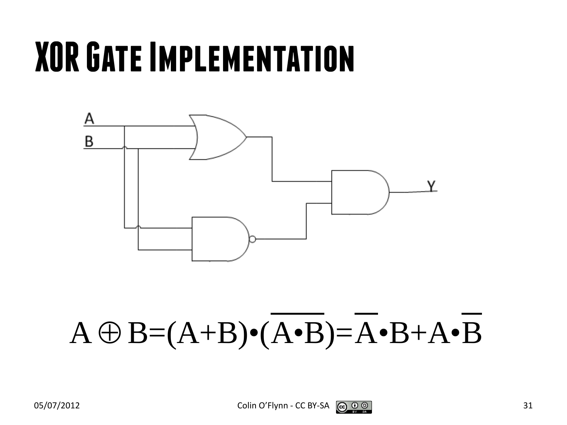# **XOR Gate Implementation**



### $A \oplus B = (A + B) \bullet (A \bullet B) = A \bullet B + A \bullet B$

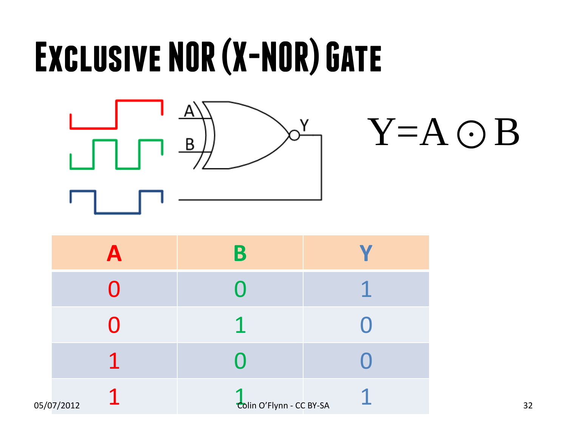# **Exclusive NOR (X-NOR) Gate**



### $Y = A \odot B$

|            | A | B                             |  |
|------------|---|-------------------------------|--|
|            |   |                               |  |
|            |   |                               |  |
|            |   |                               |  |
| 05/07/2012 |   | ◚<br>Colin O'Flynn - CC BY-SA |  |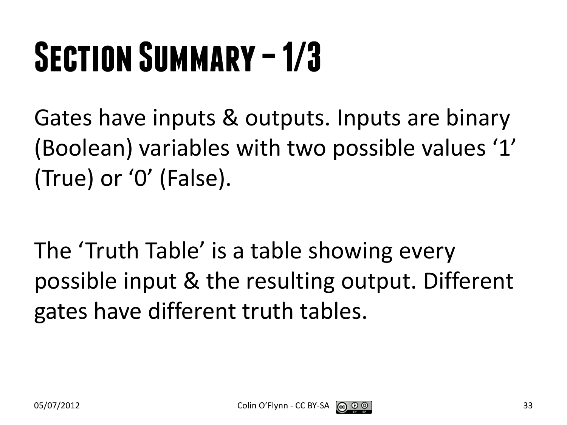# **Section Summary –1/3**

Gates have inputs & outputs. Inputs are binary (Boolean) variables with two possible values '1' (True) or '0' (False).

The 'Truth Table' is a table showing every possible input & the resulting output. Different gates have different truth tables.

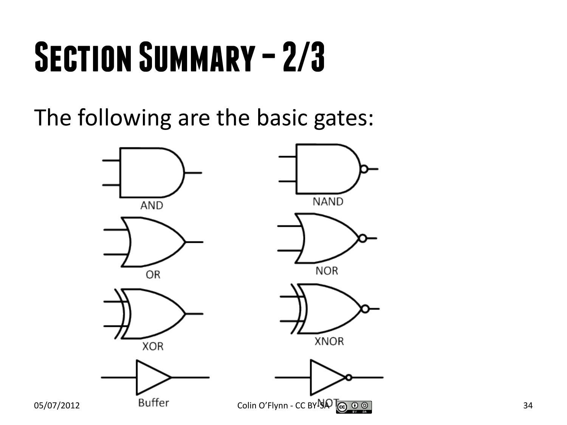# SECTION SUMMARY - 2/3

The following are the basic gates:

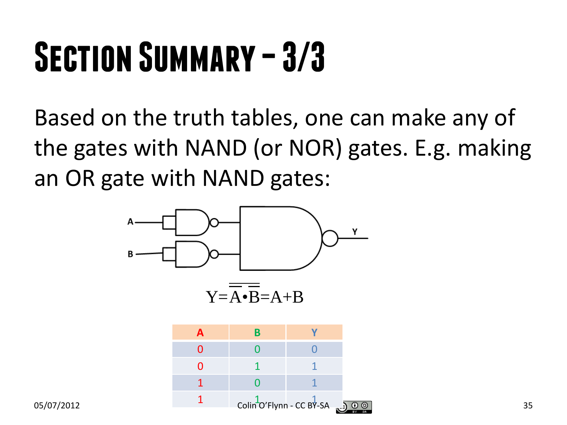# **Section Summary –3/3**

Based on the truth tables, one can make any of the gates with NAND (or NOR) gates. E.g. making an OR gate with NAND gates:

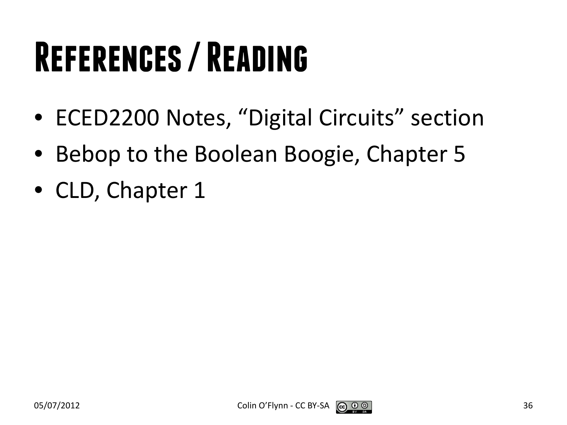# **References / Reading**

- ECED2200 Notes, "Digital Circuits" section
- Bebop to the Boolean Boogie, Chapter 5
- CLD, Chapter 1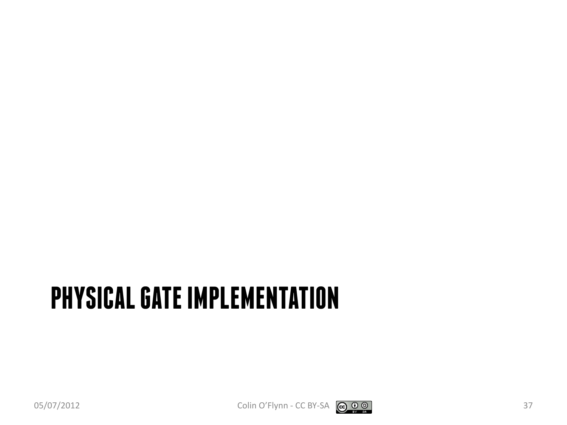#### **PHYSICAL GATE IMPLEMENTATION**



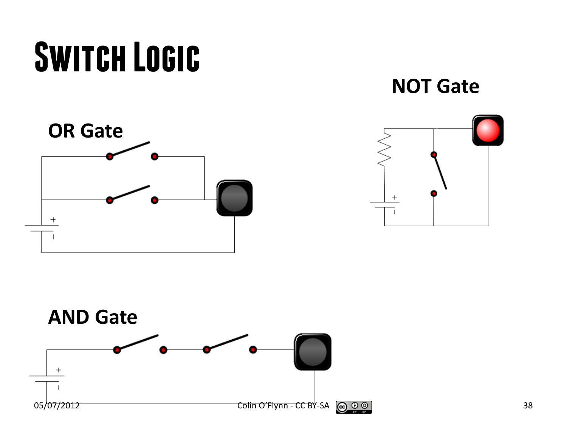#### **Switch Logic**

**NOT Gate**





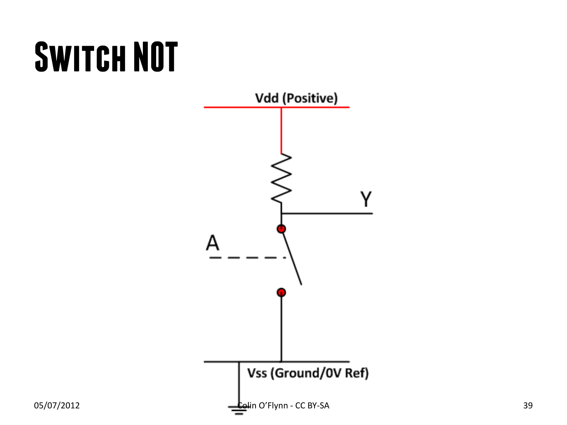### **Switch NOT**

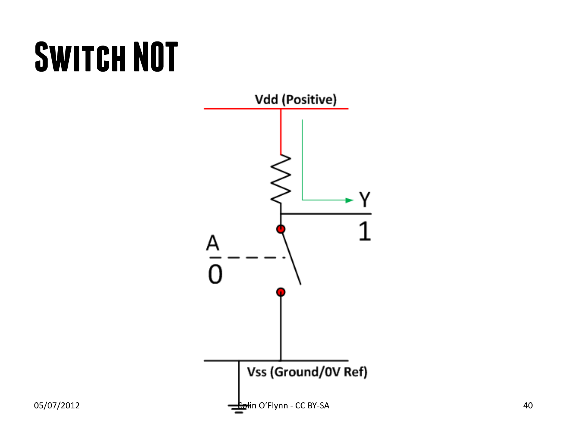### **Switch NOT**

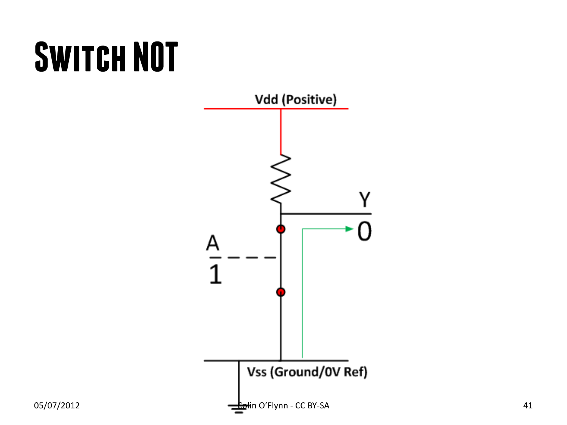## **Switch NOT**

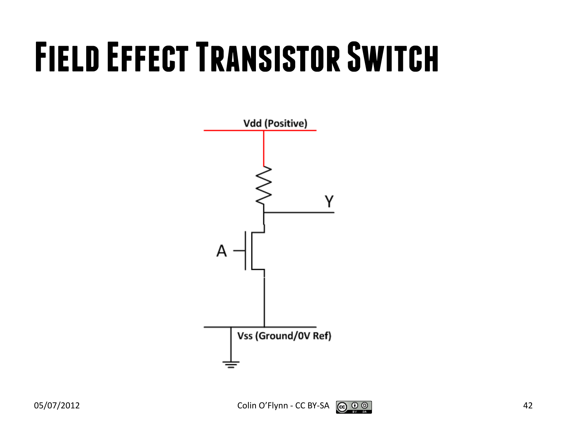#### **Field Effect Transistor Switch**

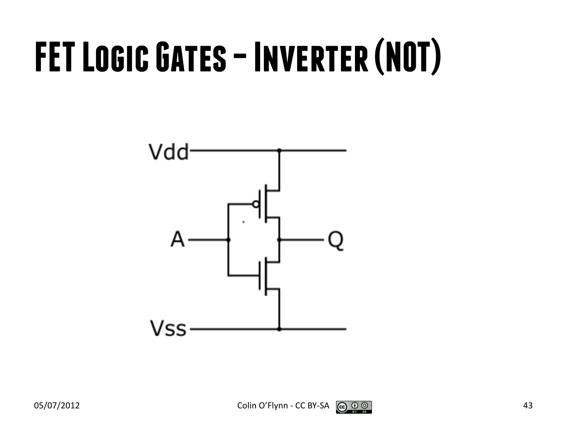# **FET Logic Gates –Inverter (NOT)**

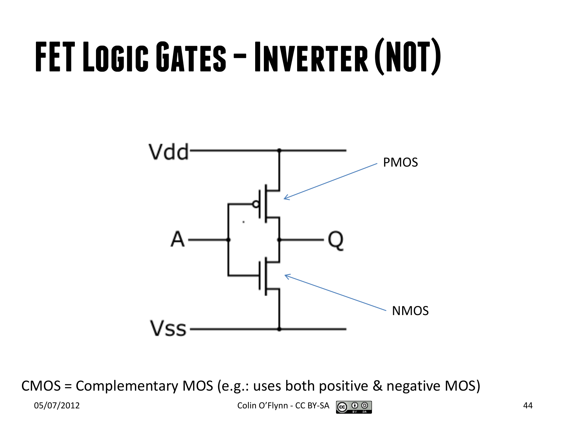# **FET Logic Gates –Inverter (NOT)**



CMOS = Complementary MOS (e.g.: uses both positive & negative MOS)

 $05/07/2012$  Colin O'Flynn - CC BY-SA  $\bigodot_{\mathbf{S} \subseteq \mathbb{R}^6} \mathbb{Q}$   $\bigodot_{\mathbf{S} \subseteq \mathbb{R}^6} \mathbb{Q}$  44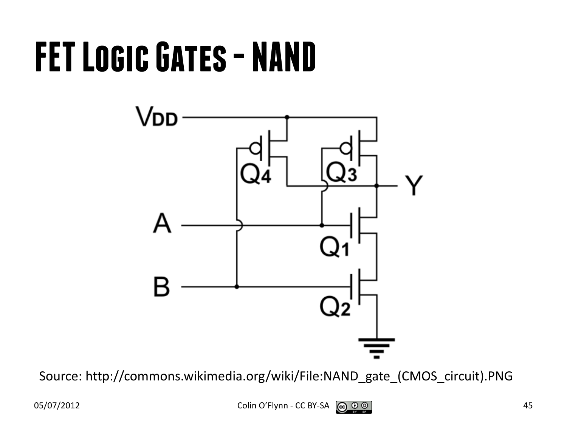## **FET Logic Gates - NAND**



Source: http://commons.wikimedia.org/wiki/File:NAND\_gate\_(CMOS\_circuit).PNG

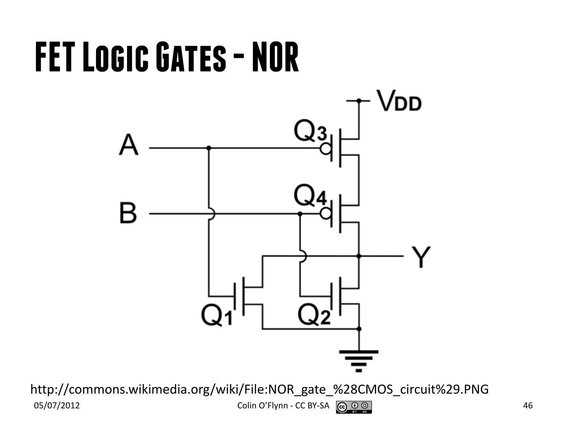# **FET Logic Gates - NOR** Vdd

http://commons.wikimedia.org/wiki/File:NOR\_gate\_%28CMOS\_circuit%29.PNG  $05/07/2012$  Colin O'Flynn - CC BY-SA  $\bigodot_{\mathbf{S} \subseteq \mathcal{S}} \mathbb{Q}$   $\bigodot_{\mathbf{S} \subseteq \mathcal{S}} \mathbb{Q}$  46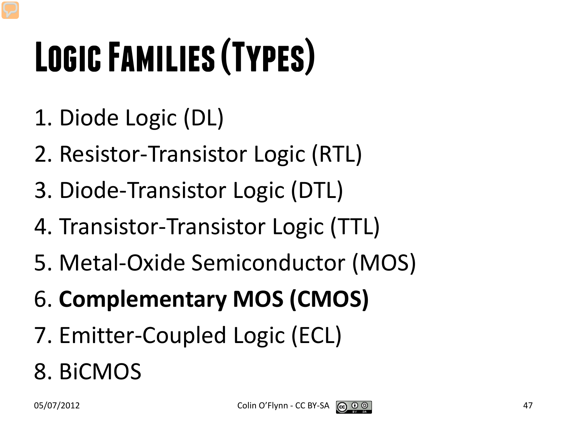# **Logic Families (Types)**

- 1. Diode Logic (DL)
- 2. Resistor-Transistor Logic (RTL)
- 3. Diode-Transistor Logic (DTL)
- 4. Transistor-Transistor Logic (TTL)
- 5. Metal-Oxide Semiconductor (MOS)
- 6. **Complementary MOS (CMOS)**
- 7. Emitter-Coupled Logic (ECL)
- 8. BiCMOS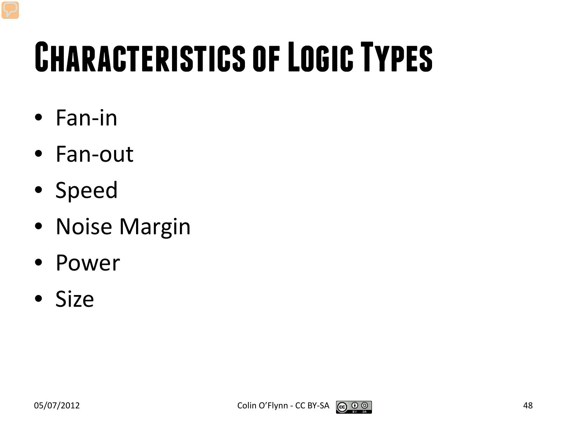### **Characteristics of Logic Types**

- Fan-in
- Fan-out
- Speed
- Noise Margin
- Power
- Size

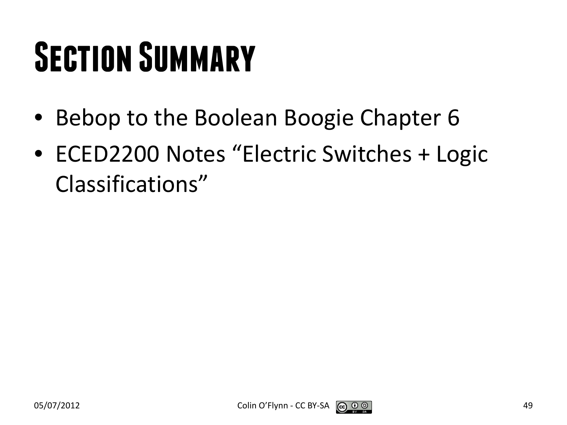# **Section Summary**

- Bebop to the Boolean Boogie Chapter 6
- ECED2200 Notes "Electric Switches + Logic Classifications"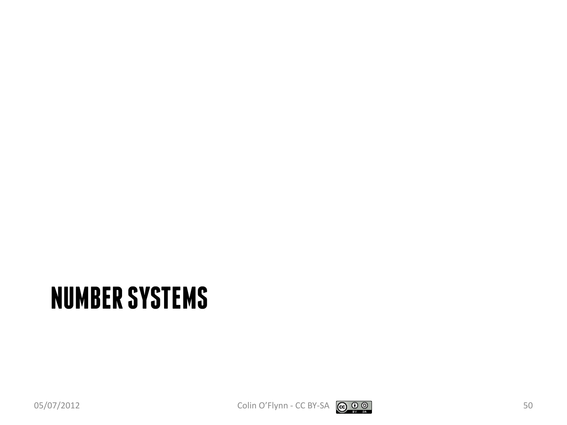#### **NUMBER SYSTEMS**

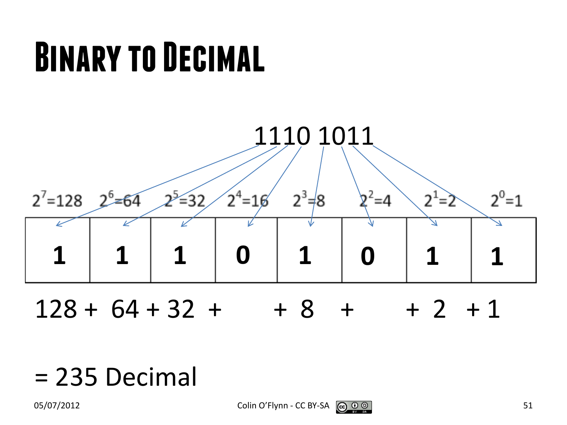#### **Binary to Decimal**



 $128 + 64 + 32 + + 8 + + 2 + 1$ 

#### = 235 Decimal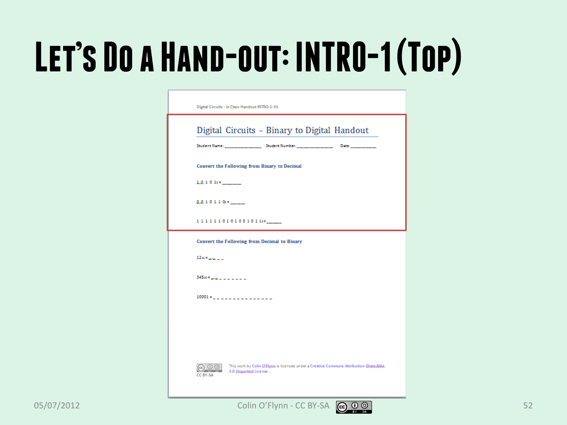# **Let's Do a Hand-out: INTRO-1 (Top)**

| Digital Circuits - In Class Handout INTRO-1-V1                                                                                             |
|--------------------------------------------------------------------------------------------------------------------------------------------|
| Digital Circuits - Binary to Digital Handout                                                                                               |
| Student Name: _________________Student Number: __________<br>Date: _______                                                                 |
| Convert the Following from Binary to Decimal                                                                                               |
| $1.01011 =$ ____                                                                                                                           |
| $0.010110z =$ ___                                                                                                                          |
| 111111010100101111122                                                                                                                      |
| Convert the Following from Decimal to Binary                                                                                               |
| $1210 = 248$                                                                                                                               |
| 34510 = 2002 = 2 = 2 = 2 =                                                                                                                 |
| $10001 =$                                                                                                                                  |
|                                                                                                                                            |
|                                                                                                                                            |
|                                                                                                                                            |
| This work by Colin (2/Elyan is licensed under a Creative Commons Attribution-ShareAlike,<br>$(4)$ (0)<br>3.0 Unported License.<br>CC BY-SA |

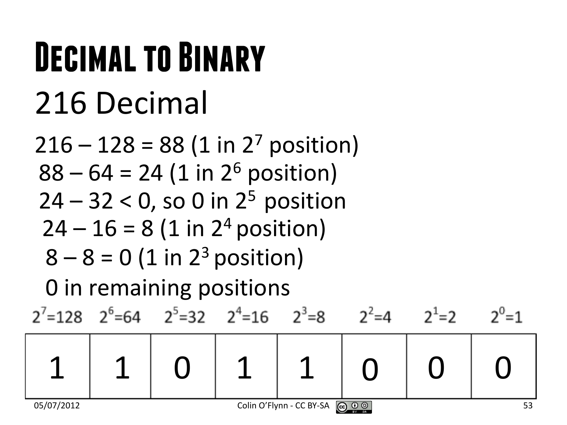#### **Decimal to Binary** 216 Decimal

 $216 - 128 = 88$  (1 in 2<sup>7</sup> position)  $88 - 64 = 24 (1 in 2<sup>6</sup> position)$  $24 - 32 < 0$ , so 0 in  $2<sup>5</sup>$  position  $24 - 16 = 8 (1 in 2<sup>4</sup> position)$  $8 - 8 = 0$  (1 in 2<sup>3</sup> position)

0 in remaining positions

 $2^7$ =128  $2^6$ =64  $2^5$ =32  $2^4$ =16  $2^3$ =8  $2^2$ =4  $2^1$ =2  $2^0$ =1

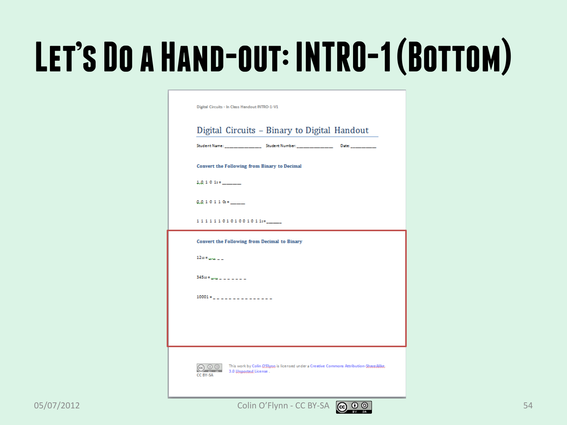# **Let's Do a Hand-out: INTRO-1 (Bottom)**

| Digital Circuits - In Class Handout INTRO-1-V1                                                                                          |
|-----------------------------------------------------------------------------------------------------------------------------------------|
| Digital Circuits - Binary to Digital Handout                                                                                            |
| Student Name: _______________ Student Number: __________<br>Date: ________                                                              |
| Convert the Following from Binary to Decimal                                                                                            |
| $1.01011 =$ ____                                                                                                                        |
| $0.010110z =$ ___                                                                                                                       |
| $1 1 1 1 1 1 0 1 0 1 0 0 1 0 1 11 =$                                                                                                    |
| Convert the Following from Decimal to Binary                                                                                            |
| $1210 = 248$                                                                                                                            |
| 34510 = <sub>2010</sub> = 2 = 2 = 2 = 2                                                                                                 |
|                                                                                                                                         |
|                                                                                                                                         |
|                                                                                                                                         |
|                                                                                                                                         |
| This work by Colin Q'Ebran is licensed under a Creative Commons Attribution-ShapeAlike.<br>$\circ$<br>3.0 Unported License.<br>CC BY-5A |

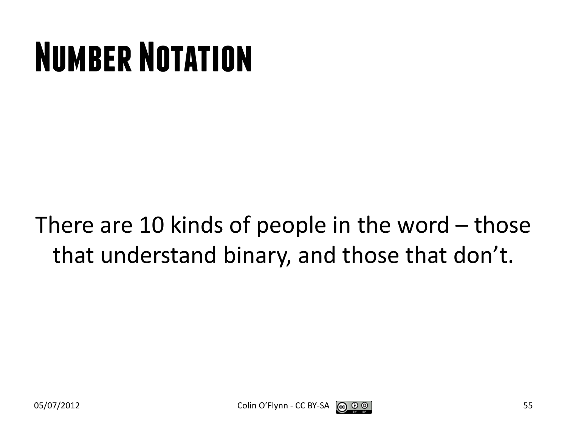#### **Number Notation**

#### There are 10 kinds of people in the word – those that understand binary, and those that don't.

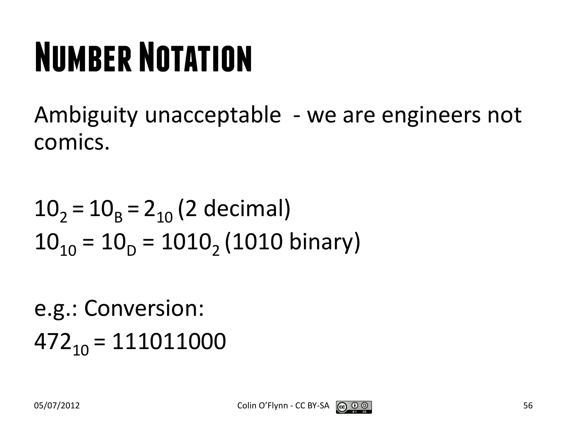# **Number Notation**

Ambiguity unacceptable - we are engineers not comics.

$$
102 = 10B = 210 (2 decimal)
$$
  

$$
1010 = 10D = 10102 (1010 binary)
$$

e.g.: Conversion:  $472_{10} = 111011000$ 

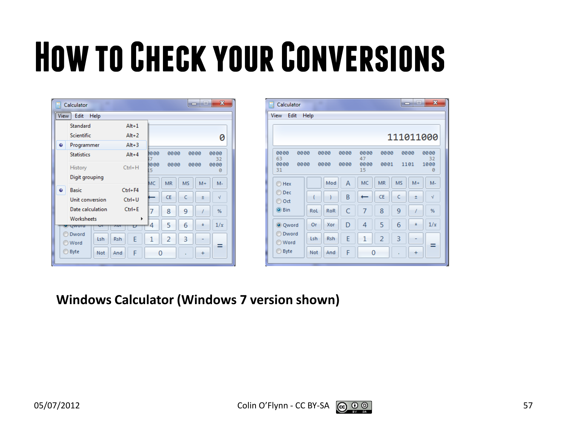#### **How to Check your Conversions**

| $\mathbf{x}$<br>العالم<br>Calculator |                                   |                 |            |                      |           |       |            |
|--------------------------------------|-----------------------------------|-----------------|------------|----------------------|-----------|-------|------------|
| <b>View</b><br>Edit<br>Help          |                                   |                 |            |                      |           |       |            |
|                                      | Standard                          | $Alt+1$         |            |                      |           |       |            |
|                                      | Scientific                        | $Alt+2$         |            |                      |           | ø     |            |
| 0                                    | $Alt + 3$<br>Programmer           |                 |            |                      |           |       |            |
|                                      | <b>Statistics</b>                 | $Alt + 4$       | 9000<br>17 | 0000                 |           | 0000  | 0000<br>32 |
|                                      | History                           | $Ctrl + H$      | 3000<br>l5 | 0000<br>0000<br>0000 |           |       | ø          |
|                                      | Digit grouping                    |                 | MC         | <b>MR</b>            | <b>MS</b> | $M +$ | $M -$      |
| 0                                    | <b>Basic</b>                      | $Ctrl + F4$     |            |                      |           |       |            |
|                                      | Unit conversion                   | $Ctrl+U$        |            | CE                   | C         | ±     | $\sqrt{ }$ |
|                                      | Date calculation                  | $Ctrl + E$      | 7          | 8                    | 9         |       | %          |
|                                      | Worksheets<br><u>ত্য ত্</u> যাতার | ۱<br>AUI        | 4          | 5                    | 6         | ÷     | 1/x        |
|                                      | O Dword<br>Lsh<br>◯ Word          | E<br><b>Rsh</b> | 1          | 2                    | 3         |       |            |
|                                      | ◯ Byte<br>Not                     | F<br>And        | 0          |                      | ï         |       |            |

| $\mathbf{x}$<br>العالص<br>٠<br>Calculator<br>暠 |     |              |              |                          |                |           |              |                         |
|------------------------------------------------|-----|--------------|--------------|--------------------------|----------------|-----------|--------------|-------------------------|
| View<br>Edit<br>Help                           |     |              |              |                          |                |           |              |                         |
|                                                |     |              |              |                          |                | 111011000 |              |                         |
| 0000<br>0000<br>63<br>aaaa<br>0000<br>31       |     | 0000<br>0000 | 8000<br>0000 | 0000<br>47<br>0000<br>15 | 0000<br>0001   |           | 0000<br>1101 | 0000<br>32<br>1000<br>ø |
| C Hex                                          |     | Mod          | Α            | <b>MC</b>                | <b>MR</b>      | <b>MS</b> | $M +$        | $M -$                   |
| ◯ Dec<br>O Oct                                 |     | -1           | B            |                          | CE             | Ċ         | Ŧ            | ν                       |
| O Bin                                          | RoL | <b>RoR</b>   | C            | 7                        | 8              | 9         | 1            | %                       |
| O Qword                                        | Or  | Xor          | D            | 4                        | 5              | 6         | $\star$      | 1/x                     |
| Dword<br>$\circ$<br><b>O</b> Word              | Lsh | <b>Rsh</b>   | F            | 1                        | $\overline{2}$ | 3         |              |                         |
| ◯ Byte                                         | Not | And          | F            | 0                        |                | ٠         | $\ddot{}$    |                         |

#### **Windows Calculator (Windows 7 version shown)**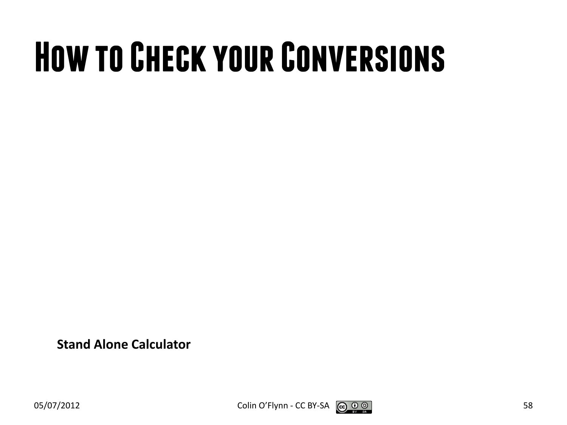#### **How to Check your Conversions**

**Stand Alone Calculator**

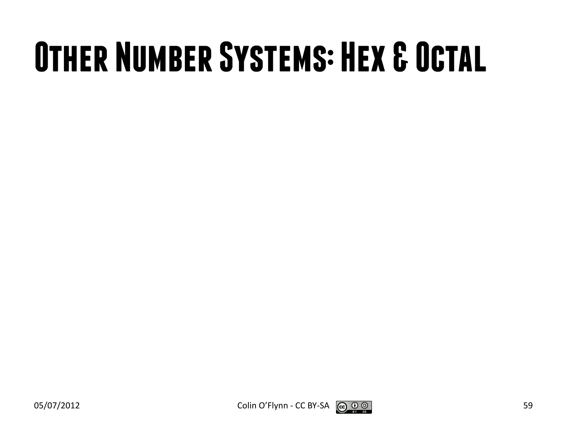#### **Other Number Systems: Hex & Octal**

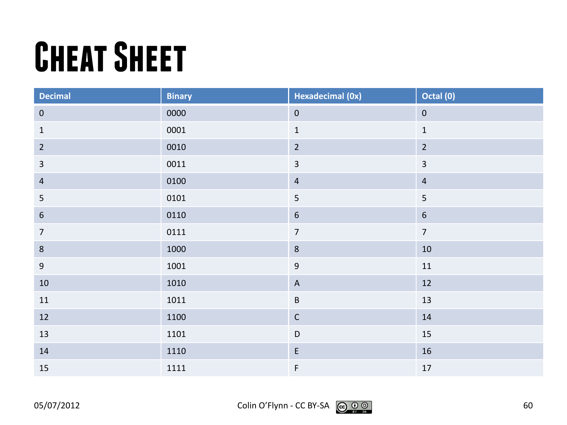# **Cheat Sheet**

| <b>Decimal</b> | <b>Binary</b> | Hexadecimal (0x)          | Octal (0)      |
|----------------|---------------|---------------------------|----------------|
| $\pmb{0}$      | 0000          | $\pmb{0}$                 | $\pmb{0}$      |
| $\mathbf{1}$   | 0001          | $\mathbf 1$               | $\mathbf 1$    |
| $\overline{2}$ | 0010          | $\overline{2}$            | $\overline{2}$ |
| $\overline{3}$ | 0011          | $\overline{3}$            | $\overline{3}$ |
| $\overline{4}$ | 0100          | $\overline{4}$            | $\overline{4}$ |
| 5              | 0101          | $\overline{5}$            | 5              |
| $\sqrt{6}$     | 0110          | $\sqrt{6}$                | $\sqrt{6}$     |
| $\overline{7}$ | 0111          | $\overline{7}$            | $\overline{7}$ |
| $\,8\,$        | 1000          | $\,8\,$                   | 10             |
| $9\,$          | 1001          | $\boldsymbol{9}$          | $11\,$         |
| $10\,$         | 1010          | $\boldsymbol{\mathsf{A}}$ | 12             |
| $11\,$         | 1011          | $\sf B$                   | 13             |
| 12             | 1100          | $\mathsf C$               | 14             |
| 13             | 1101          | $\mathsf D$               | 15             |
| $14\,$         | 1110          | $\mathsf E$               | 16             |
| 15             | 1111          | $\mathsf F$               | $17\,$         |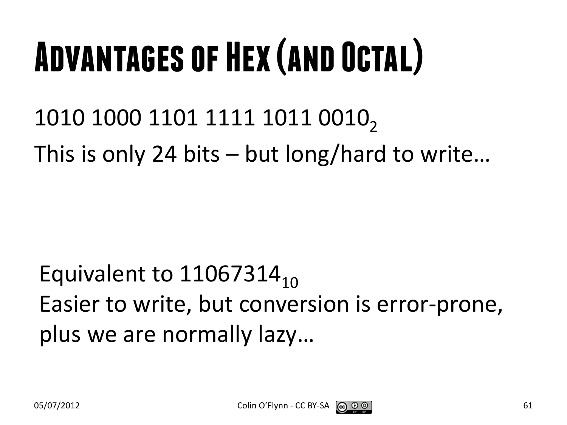# **Advantages of Hex (and Octal)**

1010 1000 1101 1111 1011 0010, This is only 24 bits – but long/hard to write…

Equivalent to  $11067314_{10}$ Easier to write, but conversion is error-prone, plus we are normally lazy…

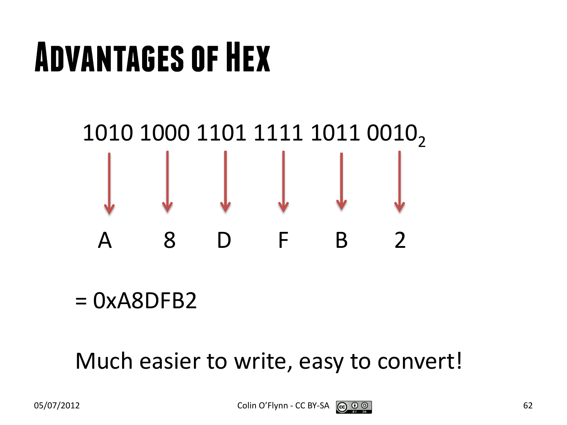#### **Advantages of Hex**



#### $= 0xA8DFB2$

#### Much easier to write, easy to convert!

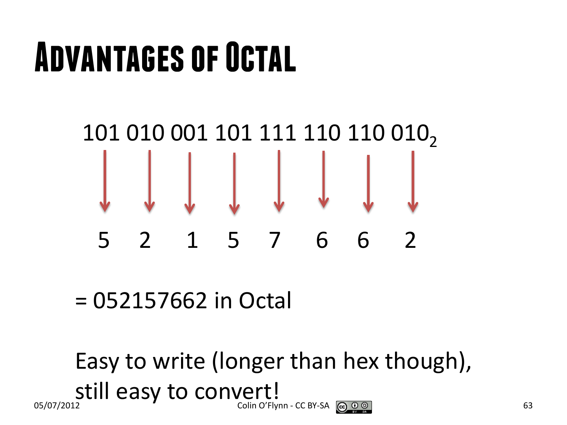#### **Advantages of Octal**



= 052157662 in Octal

Easy to write (longer than hex though), still easy to convert!<br>  $\frac{1}{\text{Colin O'Flynn-CC BY-SA}}$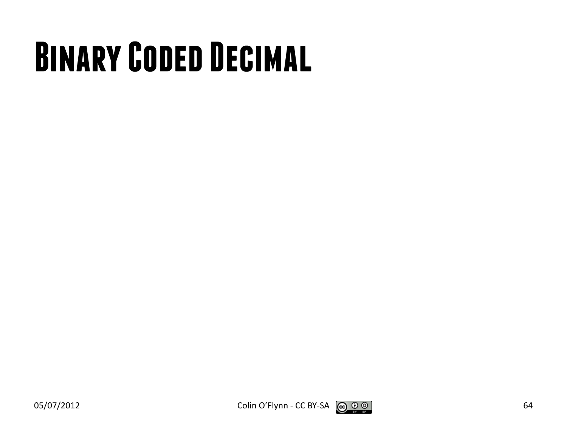#### **Binary Coded Decimal**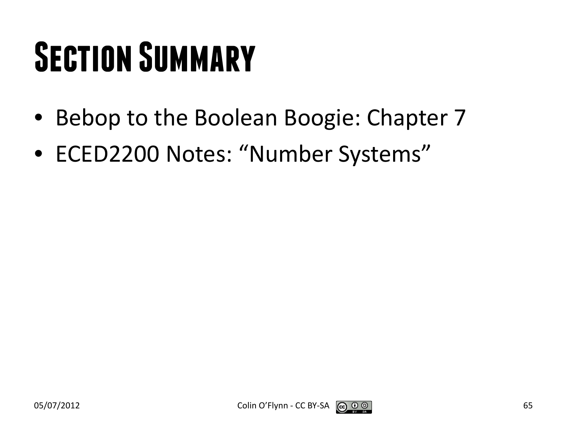## **Section Summary**

- Bebop to the Boolean Boogie: Chapter 7
- ECED2200 Notes: "Number Systems"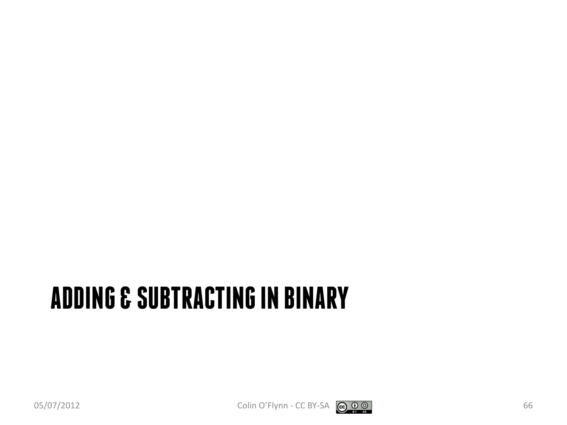#### **ADDING & SUBTRACTING IN BINARY**



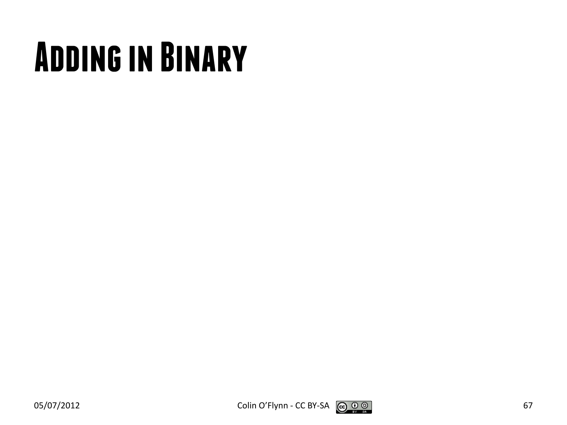#### **Adding in Binary**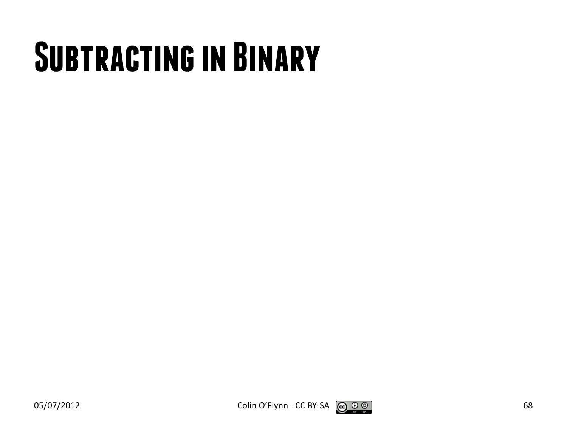#### **Subtracting in Binary**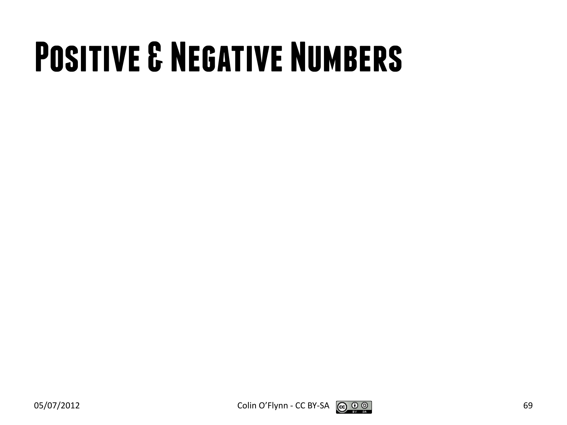#### **Positive & Negative Numbers**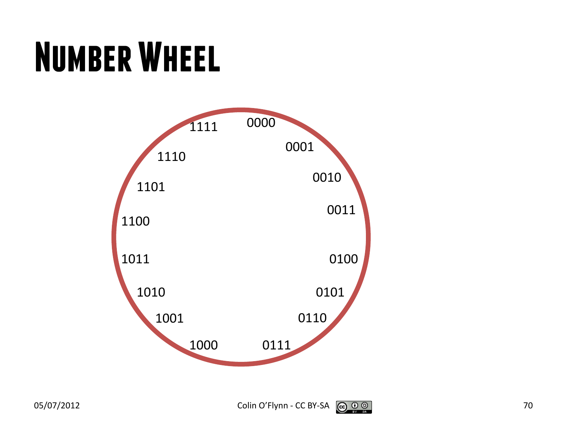#### **Number Wheel**



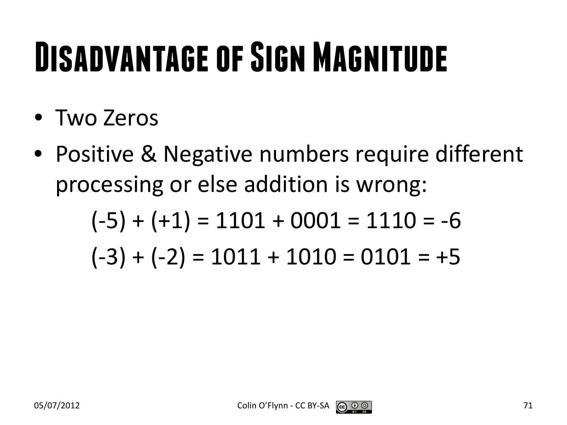# **Disadvantage of Sign Magnitude**

- Two Zeros
- Positive & Negative numbers require different processing or else addition is wrong:

 $(-5) + (+1) = 1101 + 0001 = 1110 = -6$  $(-3) + (-2) = 1011 + 1010 = 0101 = +5$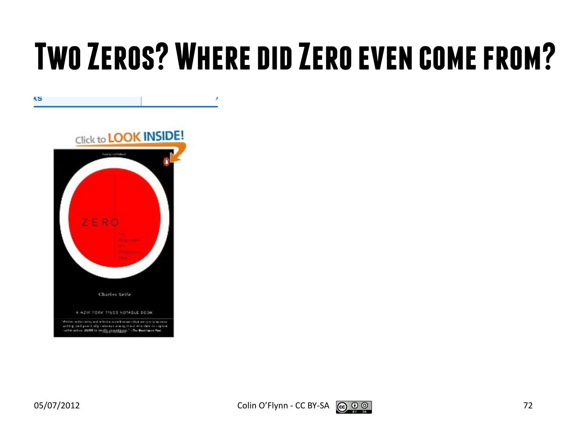#### **Two Zeros? Where did Zero even come from?**

×



٨S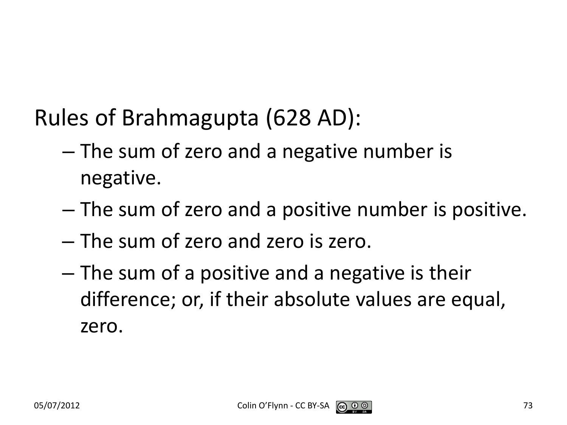Rules of Brahmagupta (628 AD):

- The sum of zero and a negative number is negative.
- The sum of zero and a positive number is positive.
- The sum of zero and zero is zero.
- The sum of a positive and a negative is their difference; or, if their absolute values are equal, zero.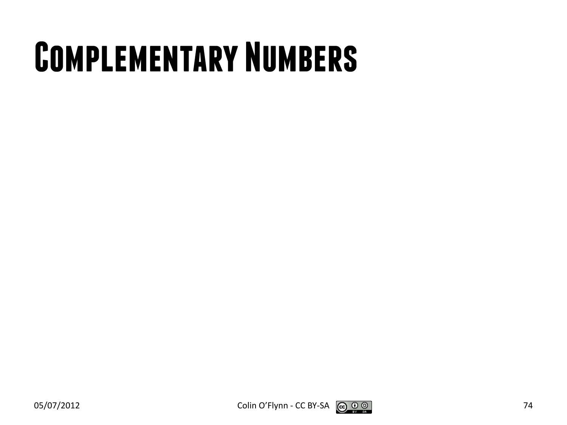## **Complementary Numbers**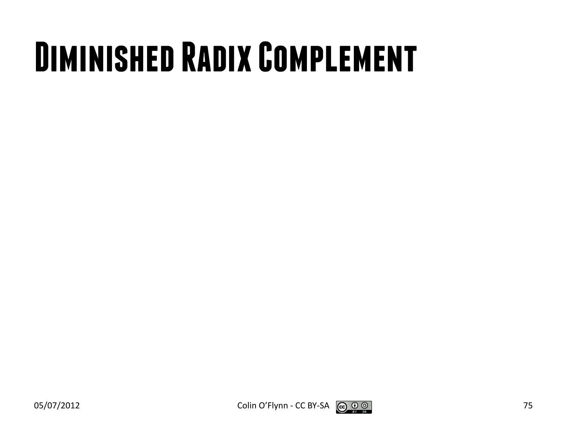## **Diminished Radix Complement**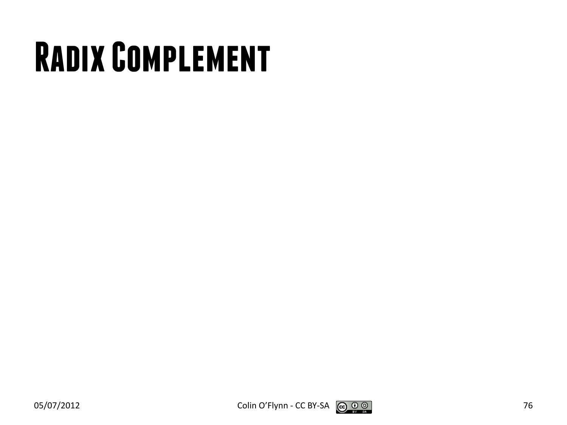## **Radix Complement**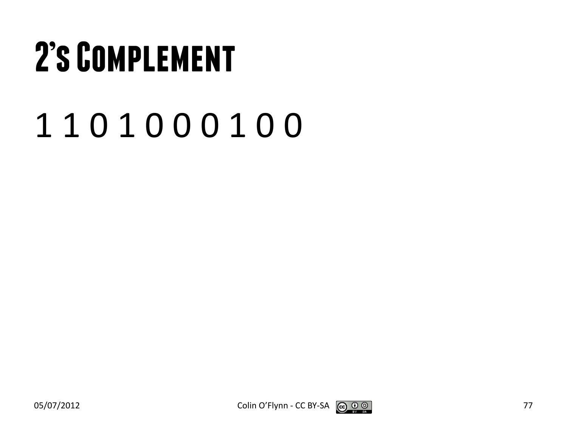# **2's Complement**

#### 1 1 0 1 0 0 0 1 0 0



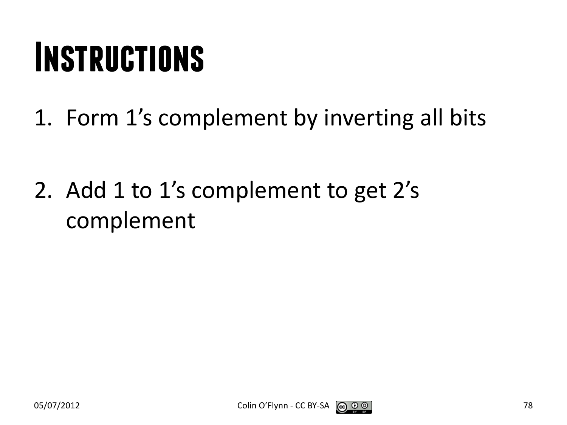#### **Instructions**

1. Form 1's complement by inverting all bits

2. Add 1 to 1's complement to get 2's complement

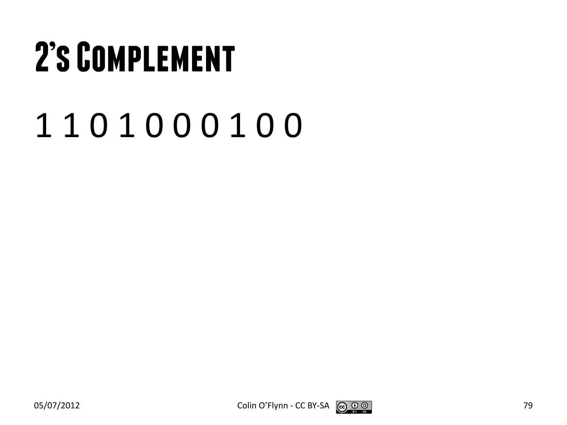# **2's Complement**

#### 1 1 0 1 0 0 0 1 0 0



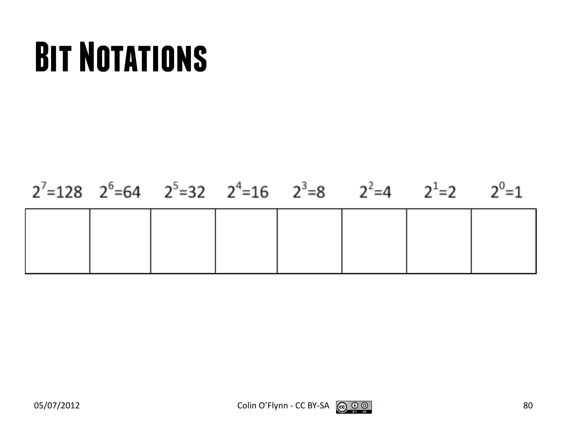# **Bit Notations**

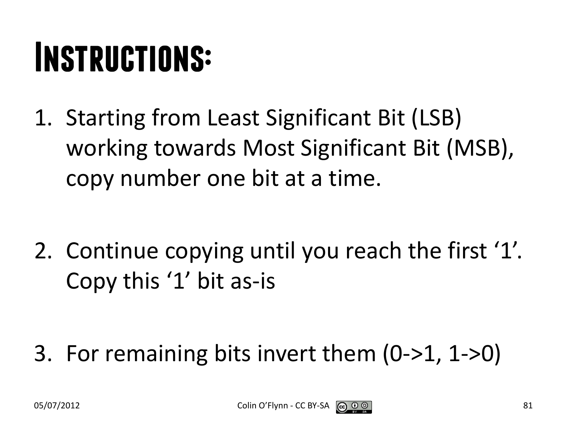#### **Instructions:**

1. Starting from Least Significant Bit (LSB) working towards Most Significant Bit (MSB), copy number one bit at a time.

2. Continue copying until you reach the first '1'. Copy this '1' bit as-is

3. For remaining bits invert them (0->1, 1->0)

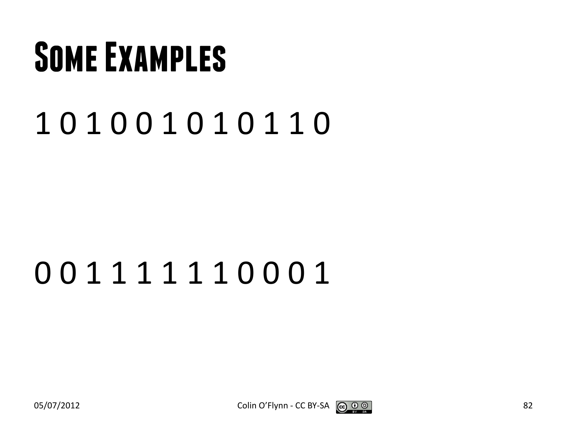### **Some Examples**

#### 1 0 1 0 0 1 0 1 0 1 1 0

#### 0 0 1 1 1 1 1 1 0 0 0 1

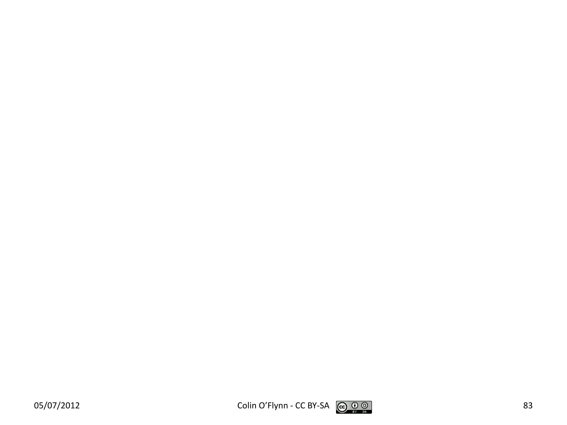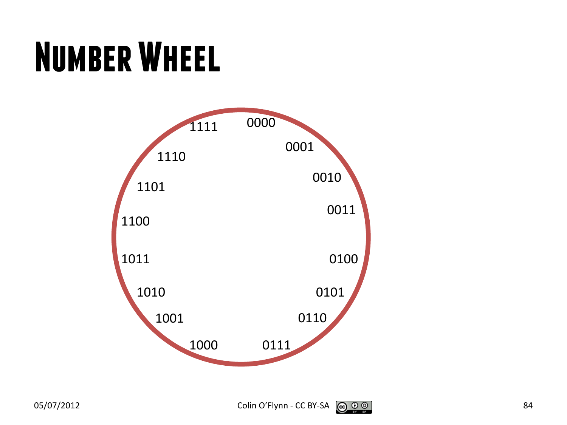# **Number Wheel**